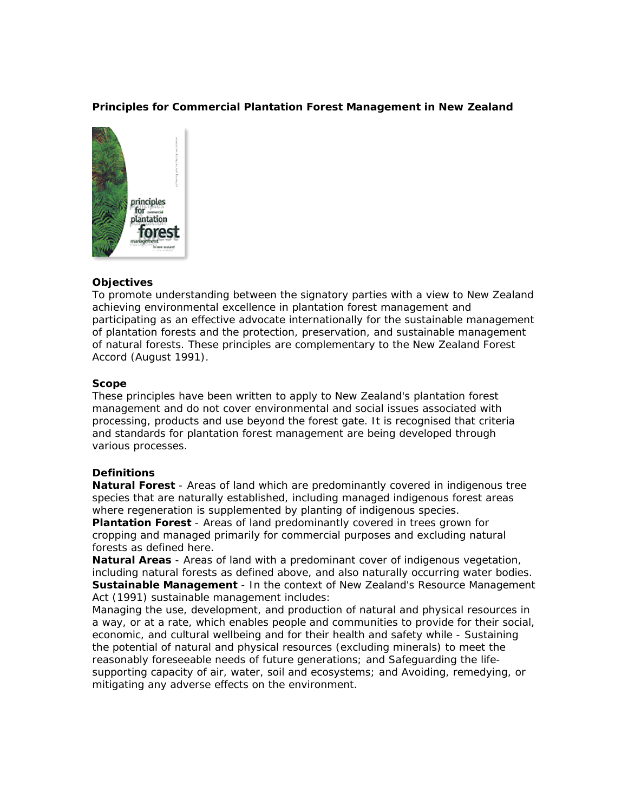## **Principles for Commercial Plantation Forest Management in New Zealand**



# **Objectives**

To promote understanding between the signatory parties with a view to New Zealand achieving environmental excellence in plantation forest management and participating as an effective advocate internationally for the sustainable management of plantation forests and the protection, preservation, and sustainable management of natural forests. These principles are complementary to the New Zealand Forest Accord (August 1991).

## **Scope**

These principles have been written to apply to New Zealand's plantation forest management and do not cover environmental and social issues associated with processing, products and use beyond the forest gate. It is recognised that criteria and standards for plantation forest management are being developed through various processes.

## **Definitions**

*Natural Forest* - Areas of land which are predominantly covered in indigenous tree species that are naturally established, including managed indigenous forest areas where regeneration is supplemented by planting of indigenous species.

*Plantation Forest* - Areas of land predominantly covered in trees grown for cropping and managed primarily for commercial purposes and excluding natural forests as defined here.

*Natural Areas* - Areas of land with a predominant cover of indigenous vegetation, including natural forests as defined above, and also naturally occurring water bodies. *Sustainable Management* - In the context of New Zealand's Resource Management Act (1991) sustainable management includes:

Managing the use, development, and production of natural and physical resources in a way, or at a rate, which enables people and communities to provide for their social, economic, and cultural wellbeing and for their health and safety while - Sustaining the potential of natural and physical resources (excluding minerals) to meet the reasonably foreseeable needs of future generations; and Safeguarding the lifesupporting capacity of air, water, soil and ecosystems; and Avoiding, remedying, or mitigating any adverse effects on the environment.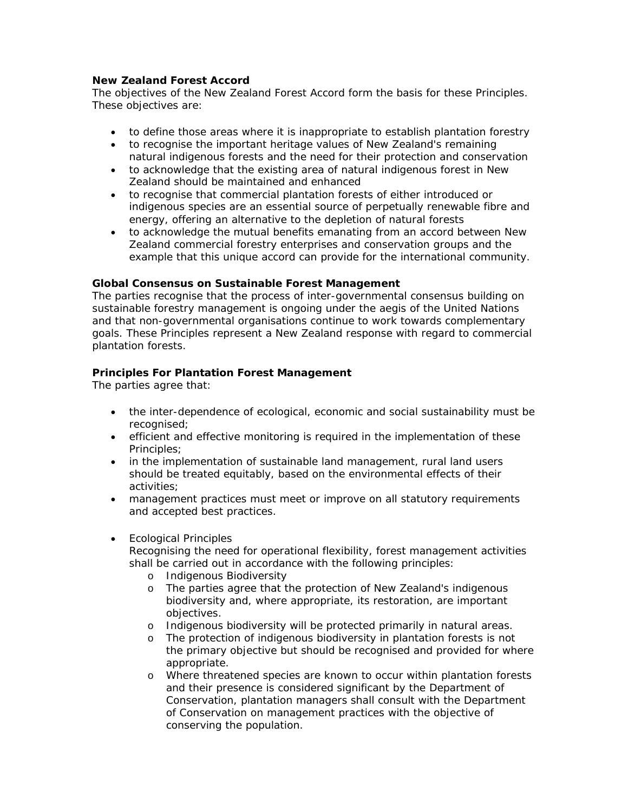## **New Zealand Forest Accord**

The objectives of the New Zealand Forest Accord form the basis for these Principles. These objectives are:

- to define those areas where it is inappropriate to establish plantation forestry
- to recognise the important heritage values of New Zealand's remaining natural indigenous forests and the need for their protection and conservation
- to acknowledge that the existing area of natural indigenous forest in New Zealand should be maintained and enhanced
- to recognise that commercial plantation forests of either introduced or indigenous species are an essential source of perpetually renewable fibre and energy, offering an alternative to the depletion of natural forests
- to acknowledge the mutual benefits emanating from an accord between New Zealand commercial forestry enterprises and conservation groups and the example that this unique accord can provide for the international community.

# **Global Consensus on Sustainable Forest Management**

The parties recognise that the process of inter-governmental consensus building on sustainable forestry management is ongoing under the aegis of the United Nations and that non-governmental organisations continue to work towards complementary goals. These Principles represent a New Zealand response with regard to commercial plantation forests.

# **Principles For Plantation Forest Management**

The parties agree that:

- the inter-dependence of ecological, economic and social sustainability must be recognised;
- efficient and effective monitoring is required in the implementation of these Principles;
- in the implementation of sustainable land management, rural land users should be treated equitably, based on the environmental effects of their activities;
- management practices must meet or improve on all statutory requirements and accepted best practices.
- Ecological Principles

Recognising the need for operational flexibility, forest management activities shall be carried out in accordance with the following principles:

- o Indigenous Biodiversity
- o The parties agree that the protection of New Zealand's indigenous biodiversity and, where appropriate, its restoration, are important objectives.
- o Indigenous biodiversity will be protected primarily in natural areas.
- o The protection of indigenous biodiversity in plantation forests is not the primary objective but should be recognised and provided for where appropriate.
- o Where threatened species are known to occur within plantation forests and their presence is considered significant by the Department of Conservation, plantation managers shall consult with the Department of Conservation on management practices with the objective of conserving the population.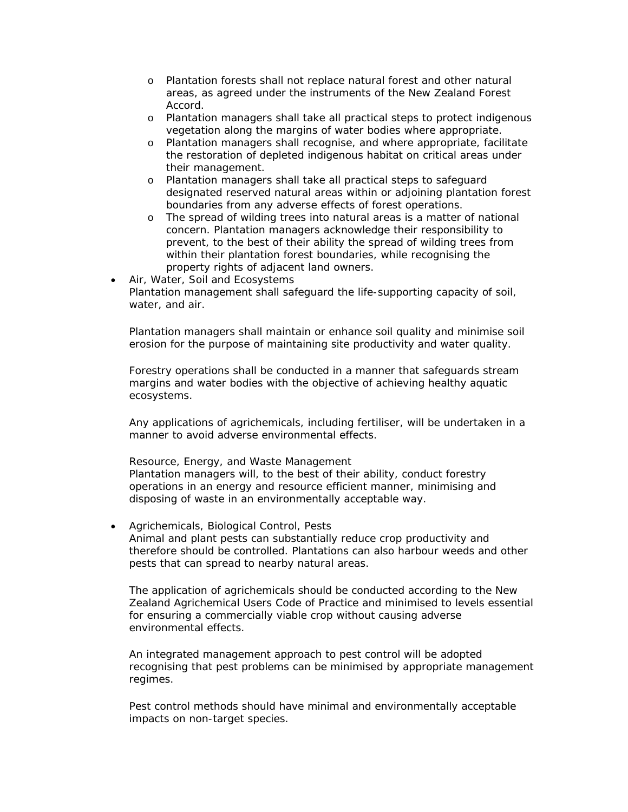- o Plantation forests shall not replace natural forest and other natural areas, as agreed under the instruments of the New Zealand Forest Accord.
- o Plantation managers shall take all practical steps to protect indigenous vegetation along the margins of water bodies where appropriate.
- o Plantation managers shall recognise, and where appropriate, facilitate the restoration of depleted indigenous habitat on critical areas under their management.
- o Plantation managers shall take all practical steps to safeguard designated reserved natural areas within or adjoining plantation forest boundaries from any adverse effects of forest operations.
- o The spread of wilding trees into natural areas is a matter of national concern. Plantation managers acknowledge their responsibility to prevent, to the best of their ability the spread of wilding trees from within their plantation forest boundaries, while recognising the property rights of adjacent land owners.
- Air, Water, Soil and Ecosystems Plantation management shall safeguard the life-supporting capacity of soil, water, and air.

Plantation managers shall maintain or enhance soil quality and minimise soil erosion for the purpose of maintaining site productivity and water quality.

Forestry operations shall be conducted in a manner that safeguards stream margins and water bodies with the objective of achieving healthy aquatic ecosystems.

Any applications of agrichemicals, including fertiliser, will be undertaken in a manner to avoid adverse environmental effects.

#### Resource, Energy, and Waste Management

Plantation managers will, to the best of their ability, conduct forestry operations in an energy and resource efficient manner, minimising and disposing of waste in an environmentally acceptable way.

• Agrichemicals, Biological Control, Pests Animal and plant pests can substantially reduce crop productivity and therefore should be controlled. Plantations can also harbour weeds and other pests that can spread to nearby natural areas.

The application of agrichemicals should be conducted according to the New Zealand Agrichemical Users Code of Practice and minimised to levels essential for ensuring a commercially viable crop without causing adverse environmental effects.

An integrated management approach to pest control will be adopted recognising that pest problems can be minimised by appropriate management regimes.

Pest control methods should have minimal and environmentally acceptable impacts on non-target species.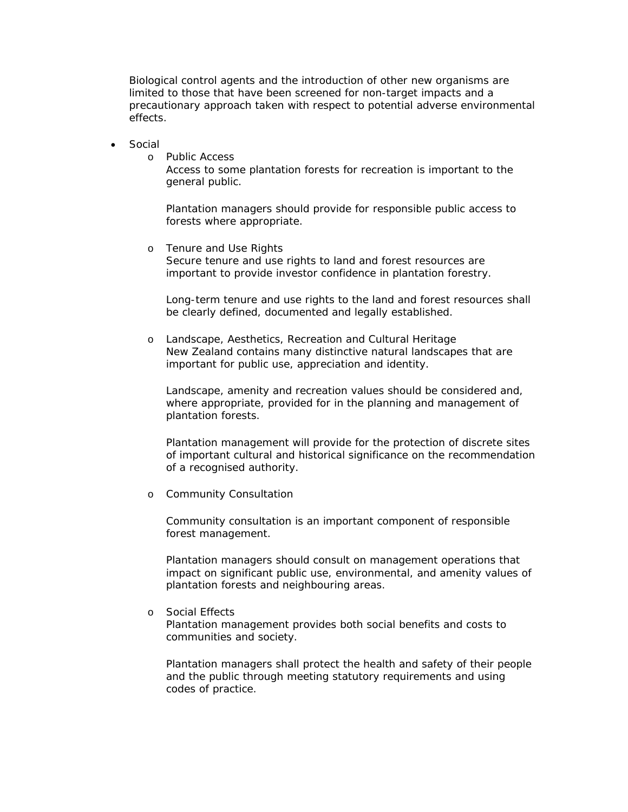Biological control agents and the introduction of other new organisms are limited to those that have been screened for non-target impacts and a precautionary approach taken with respect to potential adverse environmental effects.

- Social
	- o Public Access

Access to some plantation forests for recreation is important to the general public.

Plantation managers should provide for responsible public access to forests where appropriate.

o Tenure and Use Rights Secure tenure and use rights to land and forest resources are important to provide investor confidence in plantation forestry.

Long-term tenure and use rights to the land and forest resources shall be clearly defined, documented and legally established.

o Landscape, Aesthetics, Recreation and Cultural Heritage New Zealand contains many distinctive natural landscapes that are important for public use, appreciation and identity.

Landscape, amenity and recreation values should be considered and, where appropriate, provided for in the planning and management of plantation forests.

Plantation management will provide for the protection of discrete sites of important cultural and historical significance on the recommendation of a recognised authority.

o Community Consultation

Community consultation is an important component of responsible forest management.

Plantation managers should consult on management operations that impact on significant public use, environmental, and amenity values of plantation forests and neighbouring areas.

o Social Effects

Plantation management provides both social benefits and costs to communities and society.

Plantation managers shall protect the health and safety of their people and the public through meeting statutory requirements and using codes of practice.